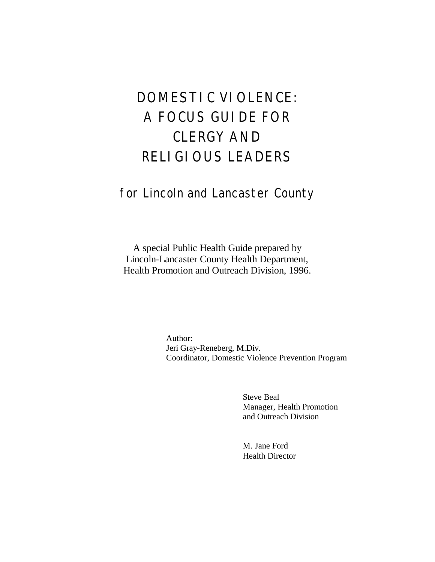# DOMESTIC VIOLENCE: A FOCUS GUIDE FOR CLERGY AND RELIGIOUS LEADERS

## for Lincoln and Lancaster County

A special Public Health Guide prepared by Lincoln-Lancaster County Health Department, Health Promotion and Outreach Division, 1996.

> Author: Jeri Gray-Reneberg, M.Div. Coordinator, Domestic Violence Prevention Program

> > Steve Beal Manager, Health Promotion and Outreach Division

M. Jane Ford Health Director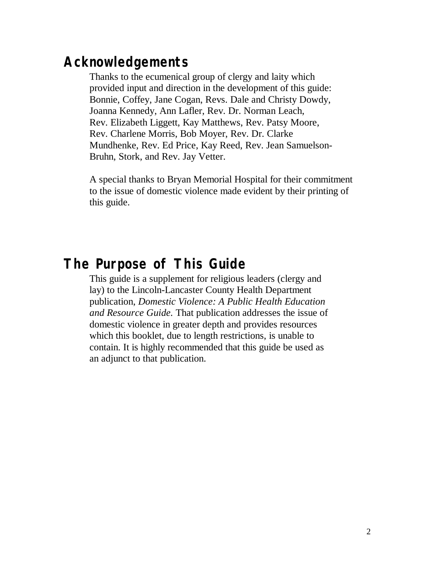## **Acknowledgements**

Thanks to the ecumenical group of clergy and laity which provided input and direction in the development of this guide: Bonnie, Coffey, Jane Cogan, Revs. Dale and Christy Dowdy, Joanna Kennedy, Ann Lafler, Rev. Dr. Norman Leach, Rev. Elizabeth Liggett, Kay Matthews, Rev. Patsy Moore, Rev. Charlene Morris, Bob Moyer, Rev. Dr. Clarke Mundhenke, Rev. Ed Price, Kay Reed, Rev. Jean Samuelson-Bruhn, Stork, and Rev. Jay Vetter.

A special thanks to Bryan Memorial Hospital for their commitment to the issue of domestic violence made evident by their printing of this guide.

## **The Purpose of This Guide**

This guide is a supplement for religious leaders (clergy and lay) to the Lincoln-Lancaster County Health Department publication, *Domestic Violence: A Public Health Education and Resource Guide.* That publication addresses the issue of domestic violence in greater depth and provides resources which this booklet, due to length restrictions, is unable to contain. It is highly recommended that this guide be used as an adjunct to that publication.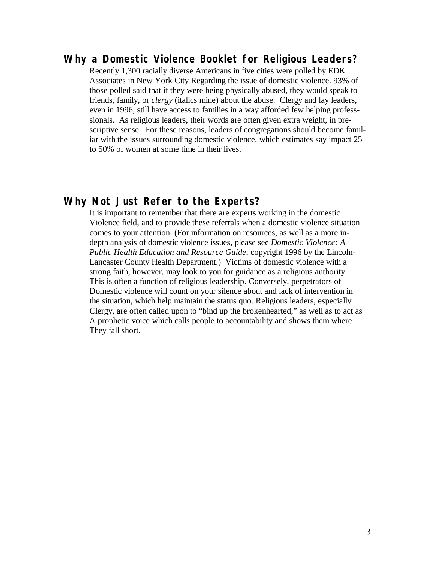## **Why a Domestic Violence Booklet for Religious Leaders?**

Recently 1,300 racially diverse Americans in five cities were polled by EDK Associates in New York City Regarding the issue of domestic violence. 93% of those polled said that if they were being physically abused, they would speak to friends, family, or *clergy* (italics mine) about the abuse. Clergy and lay leaders, even in 1996, still have access to families in a way afforded few helping professsionals. As religious leaders, their words are often given extra weight, in prescriptive sense. For these reasons, leaders of congregations should become familiar with the issues surrounding domestic violence, which estimates say impact 25 to 50% of women at some time in their lives.

## **Why Not Just Refer to the Experts?**

It is important to remember that there are experts working in the domestic Violence field, and to provide these referrals when a domestic violence situation comes to your attention. (For information on resources, as well as a more indepth analysis of domestic violence issues, please see *Domestic Violence: A Public Health Education and Resource Guide*, copyright 1996 by the Lincoln-Lancaster County Health Department.) Victims of domestic violence with a strong faith, however, may look to you for guidance as a religious authority. This is often a function of religious leadership. Conversely, perpetrators of Domestic violence will count on your silence about and lack of intervention in the situation, which help maintain the status quo. Religious leaders, especially Clergy, are often called upon to "bind up the brokenhearted," as well as to act as A prophetic voice which calls people to accountability and shows them where They fall short.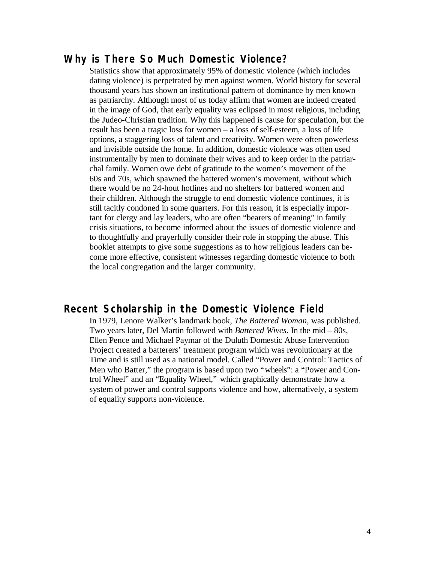## **Why is There So Much Domestic Violence?**

Statistics show that approximately 95% of domestic violence (which includes dating violence) is perpetrated by men against women. World history for several thousand years has shown an institutional pattern of dominance by men known as patriarchy. Although most of us today affirm that women are indeed created in the image of God, that early equality was eclipsed in most religious, including the Judeo-Christian tradition. Why this happened is cause for speculation, but the result has been a tragic loss for women – a loss of self-esteem, a loss of life options, a staggering loss of talent and creativity. Women were often powerless and invisible outside the home. In addition, domestic violence was often used instrumentally by men to dominate their wives and to keep order in the patriarchal family. Women owe debt of gratitude to the women's movement of the 60s and 70s, which spawned the battered women's movement, without which there would be no 24-hout hotlines and no shelters for battered women and their children. Although the struggle to end domestic violence continues, it is still tacitly condoned in some quarters. For this reason, it is especially important for clergy and lay leaders, who are often "bearers of meaning" in family crisis situations, to become informed about the issues of domestic violence and to thoughtfully and prayerfully consider their role in stopping the abuse. This booklet attempts to give some suggestions as to how religious leaders can become more effective, consistent witnesses regarding domestic violence to both the local congregation and the larger community.

## **Recent Scholarship in the Domestic Violence Field**

In 1979, Lenore Walker's landmark book, *The Battered Woman*, was published. Two years later, Del Martin followed with *Battered Wives*. In the mid – 80s, Ellen Pence and Michael Paymar of the Duluth Domestic Abuse Intervention Project created a batterers' treatment program which was revolutionary at the Time and is still used as a national model. Called "Power and Control: Tactics of Men who Batter," the program is based upon two "wheels": a "Power and Control Wheel" and an "Equality Wheel," which graphically demonstrate how a system of power and control supports violence and how, alternatively, a system of equality supports non-violence.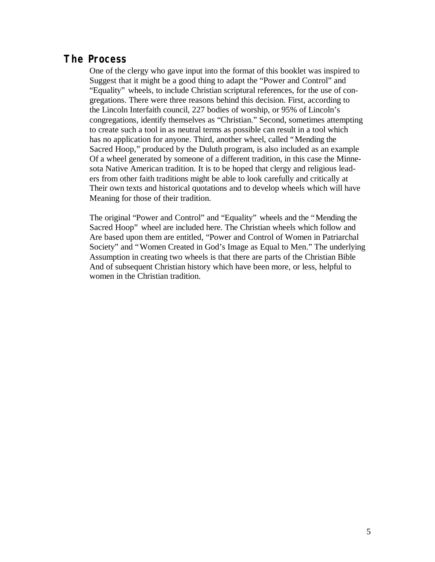## **The Process**

One of the clergy who gave input into the format of this booklet was inspired to Suggest that it might be a good thing to adapt the "Power and Control" and "Equality" wheels, to include Christian scriptural references, for the use of congregations. There were three reasons behind this decision. First, according to the Lincoln Interfaith council, 227 bodies of worship, or 95% of Lincoln's congregations, identify themselves as "Christian." Second, sometimes attempting to create such a tool in as neutral terms as possible can result in a tool which has no application for anyone. Third, another wheel, called "Mending the Sacred Hoop," produced by the Duluth program, is also included as an example Of a wheel generated by someone of a different tradition, in this case the Minnesota Native American tradition. It is to be hoped that clergy and religious leaders from other faith traditions might be able to look carefully and critically at Their own texts and historical quotations and to develop wheels which will have Meaning for those of their tradition.

The original "Power and Control" and "Equality" wheels and the "Mending the Sacred Hoop" wheel are included here. The Christian wheels which follow and Are based upon them are entitled, "Power and Control of Women in Patriarchal Society" and "Women Created in God's Image as Equal to Men." The underlying Assumption in creating two wheels is that there are parts of the Christian Bible And of subsequent Christian history which have been more, or less, helpful to women in the Christian tradition.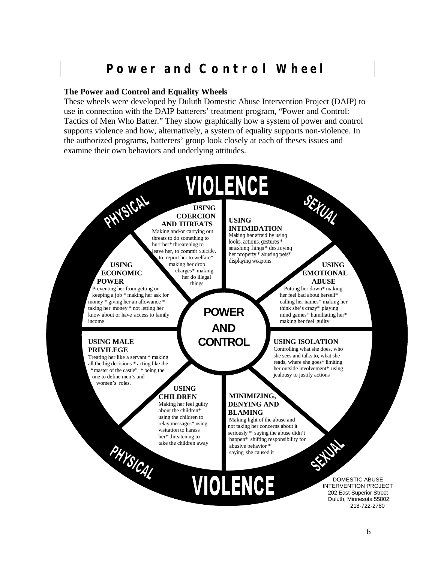## **Power and Control Wheel**

### **The Power and Control and Equality Wheels**

These wheels were developed by Duluth Domestic Abuse Intervention Project (DAIP) to use in connection with the DAIP batterers' treatment program, "Power and Control: Tactics of Men Who Batter." They show graphically how a system of power and control supports violence and how, alternatively, a system of equality supports non-violence. In the authorized programs, batterers' group look closely at each of theses issues and examine their own behaviors and underlying attitudes.



202 East Superior Street Duluth, Minnesota 55802 218-722-2780

6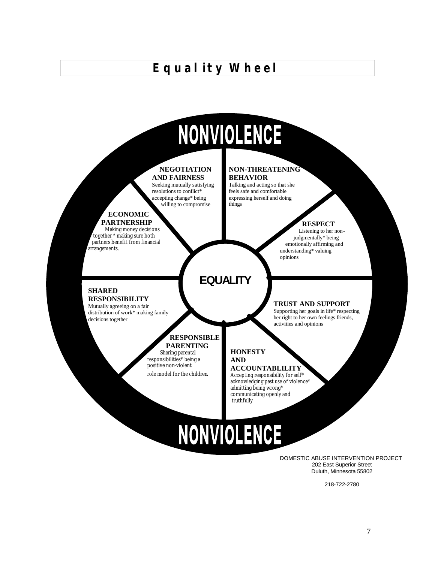## **Equality Wheel**

# NONVIOLENCE

### **NEGOTIATION AND FAIRNESS**

Seeking mutually satisfying resolutions to conflict\* accepting change\* being willing to compromise

### **NON-THREATENING BEHAVIOR**

Talking and acting so that she feels safe and comfortable expressing herself and doing things

### **RESPECT**

 Listening to her non judgmentally\* being emotionally affirming and understanding\* valuing opinions

## **EQUALITY**

### **SHARED RESPONSIBILITY**

arrangements.

Mutually agreeing on a fair distribution of work\* making family decisions together

 **ECONOMIC PARTNERSHIP** Making money decisions together \* making sure both partners benefit from financial

### **TRUST AND SUPPORT**

Supporting her goals in life\* respecting her right to her own feelings friends, activities and opinions

### **RESPONSIBLE PARENTING**

Sharing parental responsibilities\* being a positive non-violent role model for the children.

### **HONESTY AND**

### **ACCOUNTABLILITY**

Accepting responsibility for self\* acknowledging past use of violence\* admitting being wrong\* communicating openly and truthfully

# NONVIOLENCE

DOMESTIC ABUSE INTERVENTION PROJECT 202 East Superior Street Duluth, Minnesota 55802

218-722-2780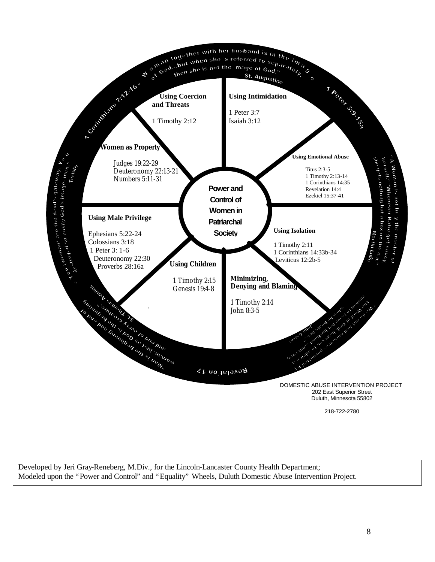

Developed by Jeri Gray-Reneberg, M.Div., for the Lincoln-Lancaster County Health Department; Modeled upon the "Power and Control" and "Equality" Wheels, Duluth Domestic Abuse Intervention Project.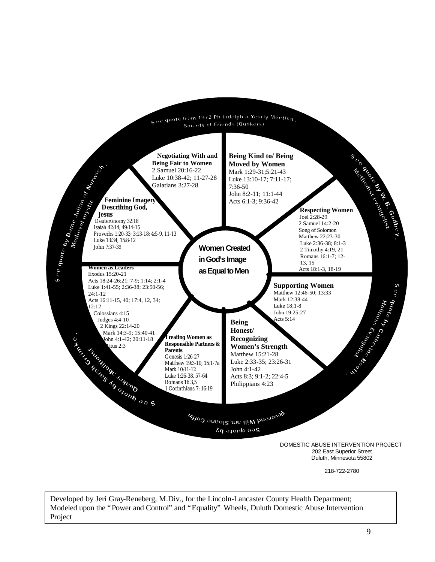e e quote from 1972 Philadelphia Yearly Meeting Society of Friends (Quakers)



Developed by Jeri Gray-Reneberg, M.Div., for the Lincoln-Lancaster County Health Department; Modeled upon the "Power and Control" and "Equality" Wheels, Duluth Domestic Abuse Intervention Project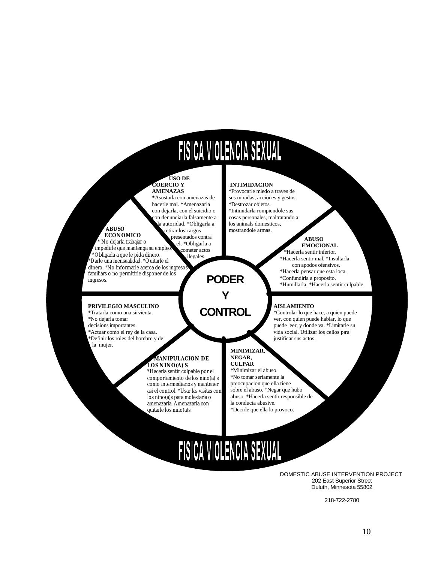# FISICA VIOLENCIA SEXUAL

**PODER** 

**Y** 

**CONTROL**

### **USO DE COERCIO Y**

**AMENAZAS \***Asustarla con amenazas de hacerle mal. \*Amenazarla con dejarla, con el suicidio o con denunciarla falsamente a la autoridad. \*Obligarla a etirar los cargos presentados contra el. \*Obligarla a cometer actos ilegales

#### **ABUSO ECONOMICO**

\* No dejarla trabajar o impedirle que mantenga su empleo \*Obligarla a que le pida dinero. \*Darle una mensualidad. \*Quitarle el dinero. \*No informarle acerca de los ingreso familiars o no permitirle disponer de los ingresos.

### **INTIMIDACION**

\*Provocarle miedo a traves de sus miradas, acciones y gestos. \*Destrozar objetos. \*Intimidarla rompiendole sus cosas personales, maltratando a los animals domesticos, mostrandole armas.

#### **ABUSO EMOCIONAL**

\*Hacerla sentir inferior. \*Hacerla sentir mal. \*Insultarla con apodos ofensivos. \*Hacerla pensar que esta loca. \*Confundirla a proposito. \*Humillarla. \*Hacerla sentir culpable. 

### **PRIVILEGIO MASCULINO**

\*Tratarla como una sirvienta. \*No dejarla tomar decisions importantes. \*Actuar como el rey de la casa. \*Definir los roles del hombre y de la mujer.

### **MANIPULACION DE LOS NINO(A) S**

\*Hacerla sentir culpable por el comportamiento de los nino(a) s como intermediarios y mantener asi el control. \*Usar las visitas con los nino(a)s para molestarla o amenazarla. Amenazarla con quitarle los nino(a)s.

### **AISLAMIENTO**

\*Controlar lo que hace, a quien puede ver, con quien puede hablar, lo que puede leer, y donde va. \*Limitarle su vida social. Utilizar los cellos para justificar sus actos.

#### **MINIMIZAR, NEGAR, CULPAR**

\*Minimizar el abuso. \*No tomar seriamente la preocupacion que ella tiene sobre el abuso. \*Negar que hubo abuso. \*Hacerla sentir responsible de la conducta abusive. \*Decirle que ella lo provoco.

# FISICA VIOLENCIA SEXUAL

DOMESTIC ABUSE INTERVENTION PROJECT 202 East Superior Street Duluth, Minnesota 55802

218-722-2780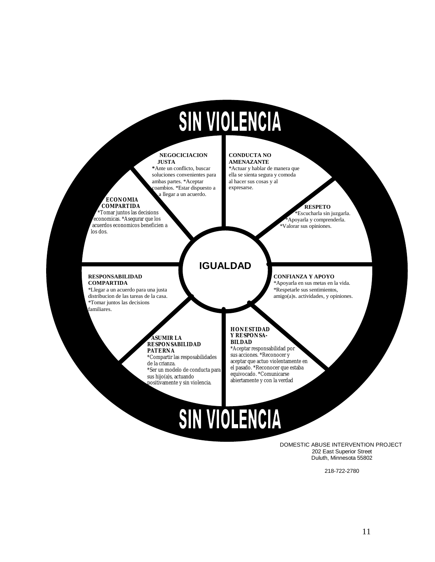# **SIN VIOLENCIA**

**IGUALDAD**

### **NEGOCICIACION**

 **JUSTA \***Ante un conflicto, buscar soluciones convenientes para ambas partes. \*Aceptar combios. \*Estar dispuesto a a llegar a un acuerdo.

### **CONDUCTA NO**

**AMENAZANTE** \*Actuar y hablar de manera que ella se sienta segura y comoda al hacer sus cosas y al expresarse.

#### **ECONOMIA COMPARTIDA**

\*Tomar juntos las decisions economicas. \*Asegurar que los acuerdos economicos beneficien a los dos.

#### **RESPETO** \*Escucharla sin juzgarla. \*Apoyarla y comprenderla. Valorar sus opiniones.

## **RESPONSABILIDAD**

**COMPARTIDA** \*Llegar a un acuerdo para una justa distribucion de las tareas de la casa. \*Tomar juntos las decisions familiares.

# **ASUMIR LA**

**RESPONSABILIDAD PATERNA**  \*Compartir las resposabilidades de la crianza. \*Ser un modelo de conducta para

sus hijo(a)s, actuando positivamente y sin violencia.

### **CONFIANZA Y APOYO**

\*Apoyarla en sus metas en la vida. \*Respetarle sus sentimientos, amigo(a)s. actividades, y opiniones.

#### **HONESTIDAD Y RESPONSA-BILDAD**

\*Aceptar responsabilidad por sus acciones. \*Reconocer y aceptar que actuo violentamente en el pasado. \*Reconocer que estaba equivocado. \*Comunicarse abiertamente y con la verdad

# **SIN VIOLENCIA**

DOMESTIC ABUSE INTERVENTION PROJECT 202 East Superior Street Duluth, Minnesota 55802

218-722-2780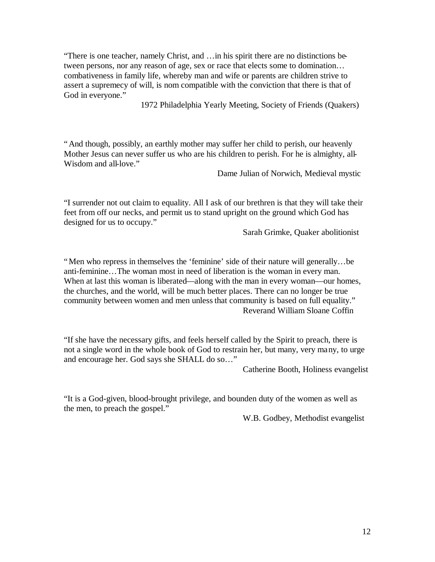"There is one teacher, namely Christ, and … in his spirit there are no distinctions between persons, nor any reason of age, sex or race that elects some to domination… combativeness in family life, whereby man and wife or parents are children strive to assert a supremecy of will, is nom compatible with the conviction that there is that of God in everyone."

1972 Philadelphia Yearly Meeting, Society of Friends (Quakers)

"And though, possibly, an earthly mother may suffer her child to perish, our heavenly Mother Jesus can never suffer us who are his children to perish. For he is almighty, all-Wisdom and all-love."

Dame Julian of Norwich, Medieval mystic

"I surrender not out claim to equality. All I ask of our brethren is that they will take their feet from off our necks, and permit us to stand upright on the ground which God has designed for us to occupy."

Sarah Grimke, Quaker abolitionist

"Men who repress in themselves the 'feminine' side of their nature will generally… be anti-feminine… The woman most in need of liberation is the woman in every man. When at last this woman is liberated—along with the man in every woman—our homes, the churches, and the world, will be much better places. There can no longer be true community between women and men unless that community is based on full equality." Reverand William Sloane Coffin

"If she have the necessary gifts, and feels herself called by the Spirit to preach, there is not a single word in the whole book of God to restrain her, but many, very many, to urge and encourage her. God says she SHALL do so… "

Catherine Booth, Holiness evangelist

"It is a God-given, blood-brought privilege, and bounden duty of the women as well as the men, to preach the gospel."

W.B. Godbey, Methodist evangelist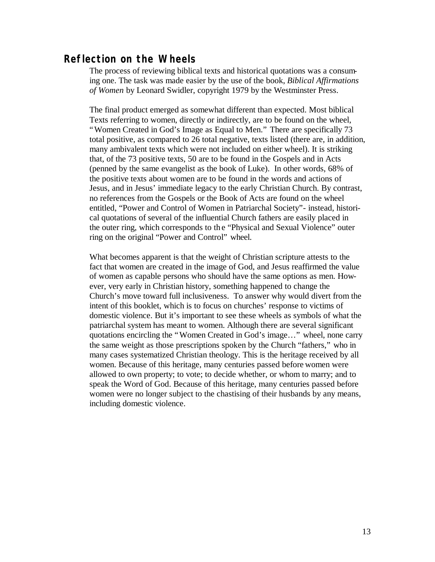### **Reflection on the Wheels**

The process of reviewing biblical texts and historical quotations was a consuming one. The task was made easier by the use of the book, *Biblical Affirmations of Women* by Leonard Swidler, copyright 1979 by the Westminster Press.

The final product emerged as somewhat different than expected. Most biblical Texts referring to women, directly or indirectly, are to be found on the wheel, "Women Created in God's Image as Equal to Men." There are specifically 73 total positive, as compared to 26 total negative, texts listed (there are, in addition, many ambivalent texts which were not included on either wheel). It is striking that, of the 73 positive texts, 50 are to be found in the Gospels and in Acts (penned by the same evangelist as the book of Luke). In other words, 68% of the positive texts about women are to be found in the words and actions of Jesus, and in Jesus' immediate legacy to the early Christian Church. By contrast, no references from the Gospels or the Book of Acts are found on the wheel entitled, "Power and Control of Women in Patriarchal Society"- instead, historical quotations of several of the influential Church fathers are easily placed in the outer ring, which corresponds to th e "Physical and Sexual Violence" outer ring on the original "Power and Control" wheel.

What becomes apparent is that the weight of Christian scripture attests to the fact that women are created in the image of God, and Jesus reaffirmed the value of women as capable persons who should have the same options as men. However, very early in Christian history, something happened to change the Church's move toward full inclusiveness. To answer why would divert from the intent of this booklet, which is to focus on churches' response to victims of domestic violence. But it's important to see these wheels as symbols of what the patriarchal system has meant to women. Although there are several significant quotations encircling the "Women Created in God's image… " wheel, none carry the same weight as those prescriptions spoken by the Church "fathers," who in many cases systematized Christian theology. This is the heritage received by all women. Because of this heritage, many centuries passed before women were allowed to own property; to vote; to decide whether, or whom to marry; and to speak the Word of God. Because of this heritage, many centuries passed before women were no longer subject to the chastising of their husbands by any means, including domestic violence.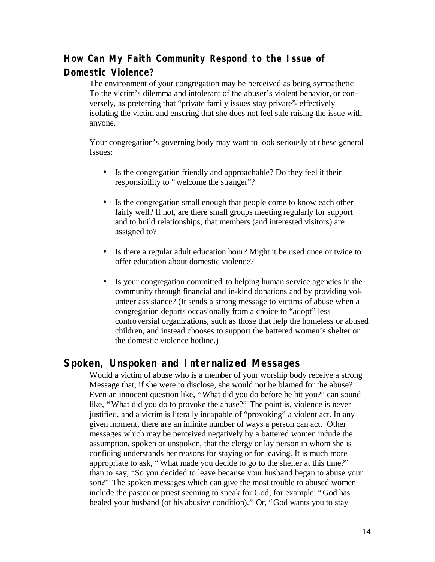## **How Can My Faith Community Respond to the Issue of Domestic Violence?**

The environment of your congregation may be perceived as being sympathetic To the victim's dilemma and intolerant of the abuser's violent behavior, or conversely, as preferring that "private family issues stay private"- effectively isolating the victim and ensuring that she does not feel safe raising the issue with anyone.

Your congregation's governing body may want to look seriously at t hese general Issues:

- Is the congregation friendly and approachable? Do they feel it their responsibility to "welcome the stranger"?
- Is the congregation small enough that people come to know each other fairly well? If not, are there small groups meeting regularly for support and to build relationships, that members (and interested visitors) are assigned to?
- Is there a regular adult education hour? Might it be used once or twice to offer education about domestic violence?
- Is your congregation committed to helping human service agencies in the community through financial and in-kind donations and by providing volunteer assistance? (It sends a strong message to victims of abuse when a congregation departs occasionally from a choice to "adopt" less controversial organizations, such as those that help the homeless or abused children, and instead chooses to support the battered women's shelter or the domestic violence hotline.)

## **Spoken, Unspoken and Internalized Messages**

Would a victim of abuse who is a member of your worship body receive a strong Message that, if she were to disclose, she would not be blamed for the abuse? Even an innocent question like, "What did you do before he hit you?" can sound like, "What did you do to provoke the abuse?" The point is, violence is never justified, and a victim is literally incapable of "provoking" a violent act. In any given moment, there are an infinite number of ways a person can act. Other messages which may be perceived negatively by a battered women indude the assumption, spoken or unspoken, that the clergy or lay person in whom she is confiding understands her reasons for staying or for leaving. It is much more appropriate to ask, "What made you decide to go to the shelter at this time?" than to say, "So you decided to leave because your husband began to abuse your son?" The spoken messages which can give the most trouble to abused women include the pastor or priest seeming to speak for God; for example: "God has healed your husband (of his abusive condition)." Or, "God wants you to stay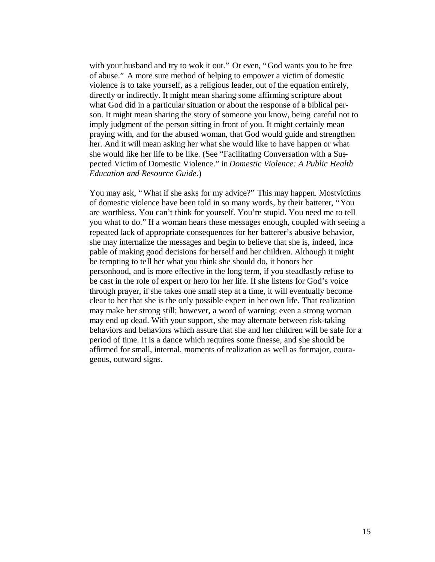with your husband and try to wok it out." Or even, "God wants you to be free of abuse." A more sure method of helping to empower a victim of domestic violence is to take yourself, as a religious leader, out of the equation entirely, directly or indirectly. It might mean sharing some affirming scripture about what God did in a particular situation or about the response of a biblical person. It might mean sharing the story of someone you know, being careful not to imply judgment of the person sitting in front of you. It might certainly mean praying with, and for the abused woman, that God would guide and strengthen her. And it will mean asking her what she would like to have happen or what she would like her life to be like. (See "Facilitating Conversation with a Suspected Victim of Domestic Violence." in *Domestic Violence: A Public Health Education and Resource Guide*.)

You may ask, "What if she asks for my advice?" This may happen. Mostvictims of domestic violence have been told in so many words, by their batterer, "You are worthless. You can't think for yourself. You're stupid. You need me to tell you what to do." If a woman hears these messages enough, coupled with seeing a repeated lack of appropriate consequences for her batterer's abusive behavior, she may internalize the messages and begin to believe that she is, indeed, incapable of making good decisions for herself and her children. Although it might be tempting to tell her what you think she should do, it honors her personhood, and is more effective in the long term, if you steadfastly refuse to be cast in the role of expert or hero for her life. If she listens for God's voice through prayer, if she takes one small step at a time, it will eventually become clear to her that she is the only possible expert in her own life. That realization may make her strong still; however, a word of warning: even a strong woman may end up dead. With your support, she may alternate between risk-taking behaviors and behaviors which assure that she and her children will be safe for a period of time. It is a dance which requires some finesse, and she should be affirmed for small, internal, moments of realization as well as for major, courageous, outward signs.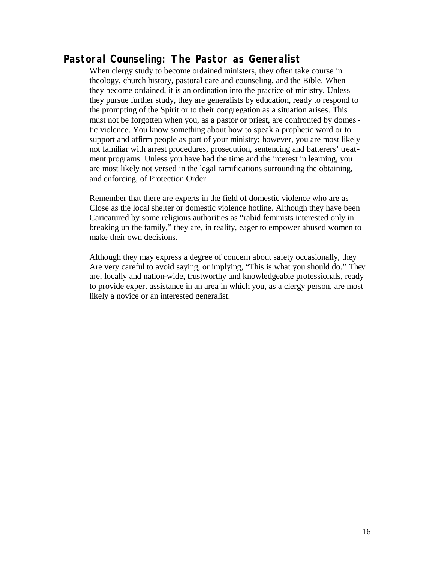## **Pastoral Counseling: The Pastor as Generalist**

When clergy study to become ordained ministers, they often take course in theology, church history, pastoral care and counseling, and the Bible. When they become ordained, it is an ordination into the practice of ministry. Unless they pursue further study, they are generalists by education, ready to respond to the prompting of the Spirit or to their congregation as a situation arises. This must not be forgotten when you, as a pastor or priest, are confronted by domestic violence. You know something about how to speak a prophetic word or to support and affirm people as part of your ministry; however, you are most likely not familiar with arrest procedures, prosecution, sentencing and batterers' treatment programs. Unless you have had the time and the interest in learning, you are most likely not versed in the legal ramifications surrounding the obtaining, and enforcing, of Protection Order.

Remember that there are experts in the field of domestic violence who are as Close as the local shelter or domestic violence hotline. Although they have been Caricatured by some religious authorities as "rabid feminists interested only in breaking up the family," they are, in reality, eager to empower abused women to make their own decisions.

Although they may express a degree of concern about safety occasionally, they Are very careful to avoid saying, or implying, "This is what you should do." They are, locally and nation-wide, trustworthy and knowledgeable professionals, ready to provide expert assistance in an area in which you, as a clergy person, are most likely a novice or an interested generalist.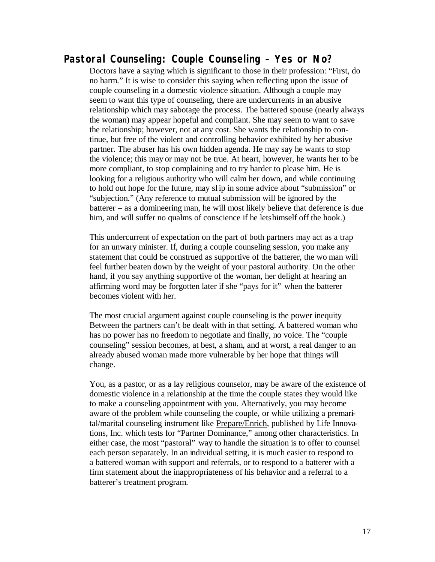## **Pastoral Counseling: Couple Counseling – Yes or No?**

Doctors have a saying which is significant to those in their profession: "First, do no harm." It is wise to consider this saying when reflecting upon the issue of couple counseling in a domestic violence situation. Although a couple may seem to want this type of counseling, there are undercurrents in an abusive relationship which may sabotage the process. The battered spouse (nearly always the woman) may appear hopeful and compliant. She may seem to want to save the relationship; however, not at any cost. She wants the relationship to continue, but free of the violent and controlling behavior exhibited by her abusive partner. The abuser has his own hidden agenda. He may say he wants to stop the violence; this may or may not be true. At heart, however, he wants her to be more compliant, to stop complaining and to try harder to please him. He is looking for a religious authority who will calm her down, and while continuing to hold out hope for the future, may sl ip in some advice about "submission" or "subjection." (Any reference to mutual submission will be ignored by the batterer – as a domineering man, he will most likely believe that deference is due him, and will suffer no qualms of conscience if he lets himself off the hook.)

This undercurrent of expectation on the part of both partners may act as a trap for an unwary minister. If, during a couple counseling session, you make any statement that could be construed as supportive of the batterer, the wo man will feel further beaten down by the weight of your pastoral authority. On the other hand, if you say anything supportive of the woman, her delight at hearing an affirming word may be forgotten later if she "pays for it" when the batterer becomes violent with her.

The most crucial argument against couple counseling is the power inequity Between the partners can't be dealt with in that setting. A battered woman who has no power has no freedom to negotiate and finally, no voice. The "couple counseling" session becomes, at best, a sham, and at worst, a real danger to an already abused woman made more vulnerable by her hope that things will change.

You, as a pastor, or as a lay religious counselor, may be aware of the existence of domestic violence in a relationship at the time the couple states they would like to make a counseling appointment with you. Alternatively, you may become aware of the problem while counseling the couple, or while utilizing a premarital/marital counseling instrument like Prepare/Enrich, published by Life Innovations, Inc. which tests for "Partner Dominance," among other characteristics. In either case, the most "pastoral" way to handle the situation is to offer to counsel each person separately. In an individual setting, it is much easier to respond to a battered woman with support and referrals, or to respond to a batterer with a firm statement about the inappropriateness of his behavior and a referral to a batterer's treatment program.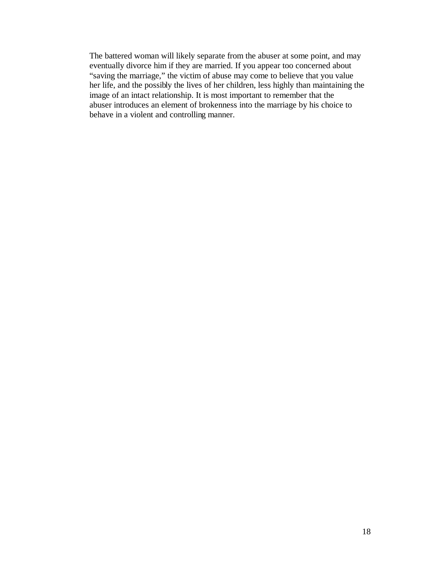The battered woman will likely separate from the abuser at some point, and may eventually divorce him if they are married. If you appear too concerned about "saving the marriage," the victim of abuse may come to believe that you value her life, and the possibly the lives of her children, less highly than maintaining the image of an intact relationship. It is most important to remember that the abuser introduces an element of brokenness into the marriage by his choice to behave in a violent and controlling manner.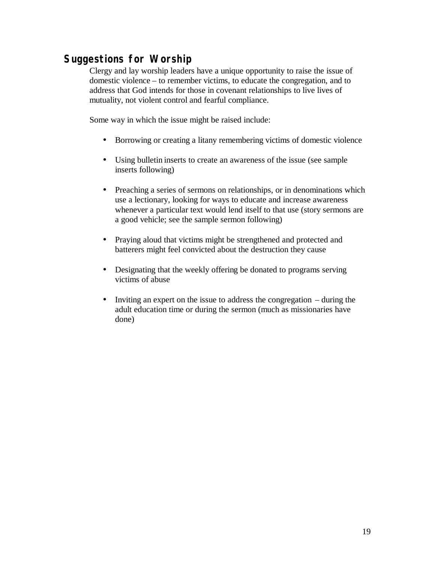## **Suggestions for Worship**

Clergy and lay worship leaders have a unique opportunity to raise the issue of domestic violence – to remember victims, to educate the congregation, and to address that God intends for those in covenant relationships to live lives of mutuality, not violent control and fearful compliance.

Some way in which the issue might be raised include:

- Borrowing or creating a litany remembering victims of domestic violence
- Using bulletin inserts to create an awareness of the issue (see sample inserts following)
- Preaching a series of sermons on relationships, or in denominations which use a lectionary, looking for ways to educate and increase awareness whenever a particular text would lend itself to that use (story sermons are a good vehicle; see the sample sermon following)
- Praying aloud that victims might be strengthened and protected and batterers might feel convicted about the destruction they cause
- Designating that the weekly offering be donated to programs serving victims of abuse
- Inviting an expert on the issue to address the congregation during the adult education time or during the sermon (much as missionaries have done)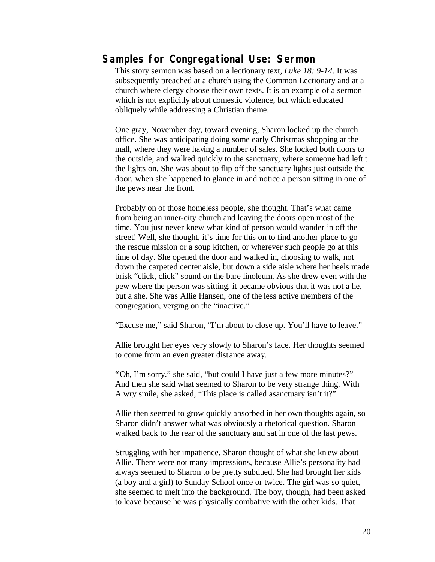## **Samples for Congregational Use: Sermon**

This story sermon was based on a lectionary text, *Luke 18: 9-14*. It was subsequently preached at a church using the Common Lectionary and at a church where clergy choose their own texts. It is an example of a sermon which is not explicitly about domestic violence, but which educated obliquely while addressing a Christian theme.

One gray, November day, toward evening, Sharon locked up the church office. She was anticipating doing some early Christmas shopping at the mall, where they were having a number of sales. She locked both doors to the outside, and walked quickly to the sanctuary, where someone had left t the lights on. She was about to flip off the sanctuary lights just outside the door, when she happened to glance in and notice a person sitting in one of the pews near the front.

Probably on of those homeless people, she thought. That's what came from being an inner-city church and leaving the doors open most of the time. You just never knew what kind of person would wander in off the street! Well, she thought, it's time for this on to find another place to go – the rescue mission or a soup kitchen, or wherever such people go at this time of day. She opened the door and walked in, choosing to walk, not down the carpeted center aisle, but down a side aisle where her heels made brisk "click, click" sound on the bare linoleum. As she drew even with the pew where the person was sitting, it became obvious that it was not a he, but a she. She was Allie Hansen, one of the less active members of the congregation, verging on the "inactive."

"Excuse me," said Sharon, "I'm about to close up. You'll have to leave."

Allie brought her eyes very slowly to Sharon's face. Her thoughts seemed to come from an even greater distance away.

"Oh, I'm sorry." she said, "but could I have just a few more minutes?" And then she said what seemed to Sharon to be very strange thing. With A wry smile, she asked, "This place is called a sanctuary isn't it?"

Allie then seemed to grow quickly absorbed in her own thoughts again, so Sharon didn't answer what was obviously a rhetorical question. Sharon walked back to the rear of the sanctuary and sat in one of the last pews.

Struggling with her impatience, Sharon thought of what she kn ew about Allie. There were not many impressions, because Allie's personality had always seemed to Sharon to be pretty subdued. She had brought her kids (a boy and a girl) to Sunday School once or twice. The girl was so quiet, she seemed to melt into the background. The boy, though, had been asked to leave because he was physically combative with the other kids. That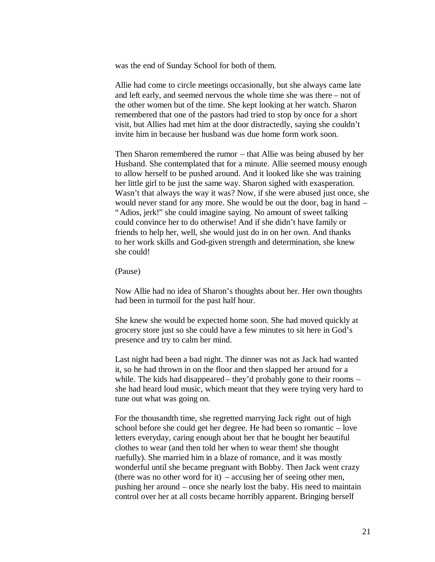was the end of Sunday School for both of them.

Allie had come to circle meetings occasionally, but she always came late and left early, and seemed nervous the whole time she was there – not of the other women but of the time. She kept looking at her watch. Sharon remembered that one of the pastors had tried to stop by once for a short visit, but Allies had met him at the door distractedly, saying she couldn't invite him in because her husband was due home form work soon.

Then Sharon remembered the rumor – that Allie was being abused by her Husband. She contemplated that for a minute. Allie seemed mousy enough to allow herself to be pushed around. And it looked like she was training her little girl to be just the same way. Sharon sighed with exasperation. Wasn't that always the way it was? Now, if she were abused just once, she would never stand for any more. She would be out the door, bag in hand – "Adios, jerk!" she could imagine saying. No amount of sweet talking could convince her to do otherwise! And if she didn't have family or friends to help her, well, she would just do in on her own. And thanks to her work skills and God-given strength and determination, she knew she could!

(Pause)

Now Allie had no idea of Sharon's thoughts about her. Her own thoughts had been in turmoil for the past half hour.

She knew she would be expected home soon. She had moved quickly at grocery store just so she could have a few minutes to sit here in God's presence and try to calm her mind.

Last night had been a bad night. The dinner was not as Jack had wanted it, so he had thrown in on the floor and then slapped her around for a while. The kids had disappeared – they'd probably gone to their rooms – she had heard loud music, which meant that they were trying very hard to tune out what was going on.

For the thousandth time, she regretted marrying Jack right out of high school before she could get her degree. He had been so romantic – love letters everyday, caring enough about her that he bought her beautiful clothes to wear (and then told her when to wear them! she thought ruefully). She married him in a blaze of romance, and it was mostly wonderful until she became pregnant with Bobby. Then Jack went crazy (there was no other word for it) – accusing her of seeing other men, pushing her around – once she nearly lost the baby. His need to maintain control over her at all costs became horribly apparent. Bringing herself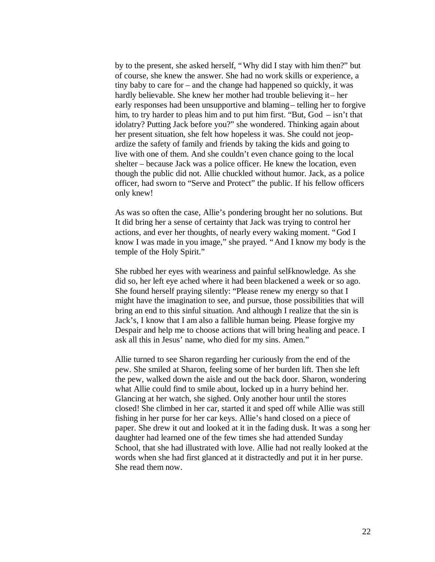by to the present, she asked herself, "Why did I stay with him then?" but of course, she knew the answer. She had no work skills or experience, a tiny baby to care for – and the change had happened so quickly, it was hardly believable. She knew her mother had trouble believing it – her early responses had been unsupportive and blaming – telling her to forgive him, to try harder to pleas him and to put him first. "But, God – isn't that idolatry? Putting Jack before you?" she wondered. Thinking again about her present situation, she felt how hopeless it was. She could not jeopardize the safety of family and friends by taking the kids and going to live with one of them. And she couldn't even chance going to the local shelter – because Jack was a police officer. He knew the location, even though the public did not. Allie chuckled without humor. Jack, as a police officer, had sworn to "Serve and Protect" the public. If his fellow officers only knew!

As was so often the case, Allie's pondering brought her no solutions. But It did bring her a sense of certainty that Jack was trying to control her actions, and ever her thoughts, of nearly every waking moment. "God I know I was made in you image," she prayed. "And I know my body is the temple of the Holy Spirit."

She rubbed her eyes with weariness and painful self-knowledge. As she did so, her left eye ached where it had been blackened a week or so ago. She found herself praying silently: "Please renew my energy so that I might have the imagination to see, and pursue, those possibilities that will bring an end to this sinful situation. And although I realize that the sin is Jack's, I know that I am also a fallible human being. Please forgive my Despair and help me to choose actions that will bring healing and peace. I ask all this in Jesus' name, who died for my sins. Amen."

Allie turned to see Sharon regarding her curiously from the end of the pew. She smiled at Sharon, feeling some of her burden lift. Then she left the pew, walked down the aisle and out the back door. Sharon, wondering what Allie could find to smile about, locked up in a hurry behind her. Glancing at her watch, she sighed. Only another hour until the stores closed! She climbed in her car, started it and sped off while Allie was still fishing in her purse for her car keys. Allie's hand closed on a piece of paper. She drew it out and looked at it in the fading dusk. It was a song her daughter had learned one of the few times she had attended Sunday School, that she had illustrated with love. Allie had not really looked at the words when she had first glanced at it distractedly and put it in her purse. She read them now.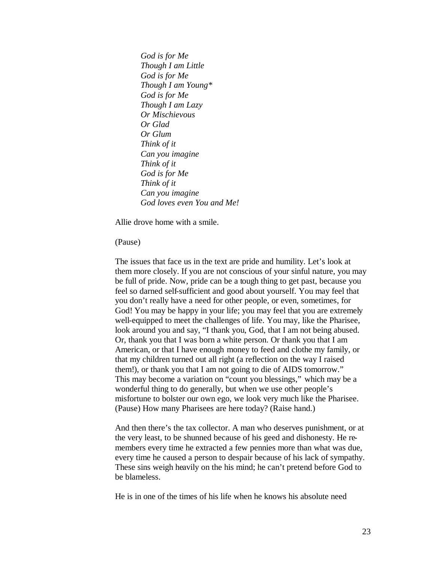*God is for Me Though I am Little God is for Me Though I am Young\* God is for Me Though I am Lazy Or Mischievous Or Glad Or Glum Think of it Can you imagine Think of it God is for Me Think of it Can you imagine God loves even You and Me!*

Allie drove home with a smile.

### (Pause)

The issues that face us in the text are pride and humility. Let's look at them more closely. If you are not conscious of your sinful nature, you may be full of pride. Now, pride can be a tough thing to get past, because you feel so darned self-sufficient and good about yourself. You may feel that you don't really have a need for other people, or even, sometimes, for God! You may be happy in your life; you may feel that you are extremely well-equipped to meet the challenges of life. You may, like the Pharisee, look around you and say, "I thank you, God, that I am not being abused. Or, thank you that I was born a white person. Or thank you that I am American, or that I have enough money to feed and clothe my family, or that my children turned out all right (a reflection on the way I raised them!), or thank you that I am not going to die of AIDS tomorrow." This may become a variation on "count you blessings," which may be a wonderful thing to do generally, but when we use other people's misfortune to bolster our own ego, we look very much like the Pharisee. (Pause) How many Pharisees are here today? (Raise hand.)

And then there's the tax collector. A man who deserves punishment, or at the very least, to be shunned because of his geed and dishonesty. He remembers every time he extracted a few pennies more than what was due, every time he caused a person to despair because of his lack of sympathy. These sins weigh heavily on the his mind; he can't pretend before God to be blameless.

He is in one of the times of his life when he knows his absolute need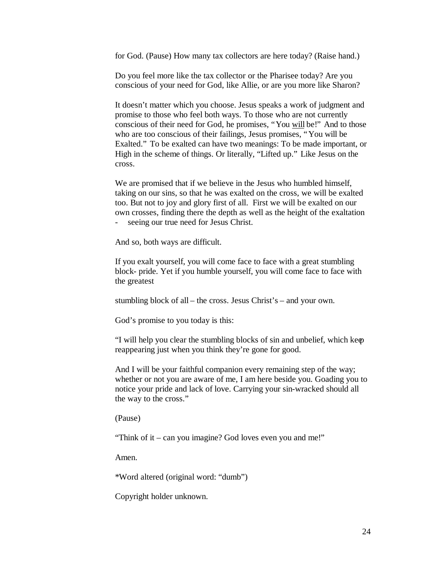for God. (Pause) How many tax collectors are here today? (Raise hand.)

Do you feel more like the tax collector or the Pharisee today? Are you conscious of your need for God, like Allie, or are you more like Sharon?

It doesn't matter which you choose. Jesus speaks a work of judgment and promise to those who feel both ways. To those who are not currently conscious of their need for God, he promises, "You will be!" And to those who are too conscious of their failings, Jesus promises, "You will be Exalted." To be exalted can have two meanings: To be made important, or High in the scheme of things. Or literally, "Lifted up." Like Jesus on the cross.

We are promised that if we believe in the Jesus who humbled himself, taking on our sins, so that he was exalted on the cross, we will be exalted too. But not to joy and glory first of all. First we will be exalted on our own crosses, finding there the depth as well as the height of the exaltation seeing our true need for Jesus Christ.

And so, both ways are difficult.

If you exalt yourself, you will come face to face with a great stumbling block- pride. Yet if you humble yourself, you will come face to face with the greatest

stumbling block of all – the cross. Jesus Christ's – and your own.

God's promise to you today is this:

"I will help you clear the stumbling blocks of sin and unbelief, which keep reappearing just when you think they're gone for good.

And I will be your faithful companion every remaining step of the way; whether or not you are aware of me, I am here beside you. Goading you to notice your pride and lack of love. Carrying your sin-wracked should all the way to the cross."

(Pause)

"Think of it – can you imagine? God loves even you and me!"

Amen.

\*Word altered (original word: "dumb")

Copyright holder unknown.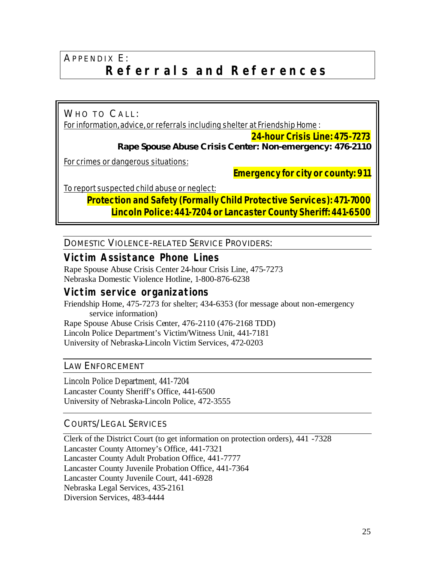## APPENDIX E: **Referrals and References**

## WHO TO CALL:

For information, advice, or referrals including shelter at Friendship Home :

### **24-hour Crisis Line: 475-7273 Rape Spouse Abuse Crisis Center: Non-emergency: 476-2110**

For crimes or dangerous situations:

**Emergency for city or county: 911**

To report suspected child abuse or neglect:

**Protection and Safety (Formally Child Protective Services): 471-7000 Lincoln Police: 441-7204 or Lancaster County Sheriff: 441-6500**

## DOMESTIC VIOLENCE-RELATED SERVICE PROVIDERS:

## **Victim Assistance Phone Lines**

Rape Spouse Abuse Crisis Center 24-hour Crisis Line, 475-7273 Nebraska Domestic Violence Hotline, 1-800-876-6238

## **Victim service organizations**

Friendship Home, 475-7273 for shelter; 434-6353 (for message about non-emergency service information) Rape Spouse Abuse Crisis Center, 476-2110 (476-2168 TDD) Lincoln Police Department's Victim/Witness Unit, 441-7181 University of Nebraska-Lincoln Victim Services, 472-0203

## LAW ENFORCEMENT

Lincoln Police Department, 441-7204 Lancaster County Sheriff's Office, 441-6500 University of Nebraska-Lincoln Police, 472-3555

## COURTS/LEGAL SERVICES

Clerk of the District Court (to get information on protection orders), 441 -7328 Lancaster County Attorney's Office, 441-7321 Lancaster County Adult Probation Office, 441-7777 Lancaster County Juvenile Probation Office, 441-7364 Lancaster County Juvenile Court, 441-6928 Nebraska Legal Services, 435-2161 Diversion Services, 483-4444